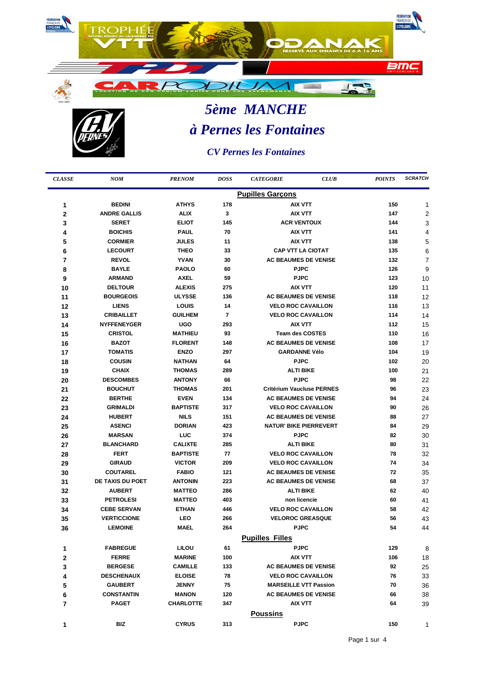

## *5ème MANCHE à Pernes les Fontaines*

*CV Pernes les Fontaines*

l,

| <b>CLASSE</b> | <b>NOM</b>              | <b>PRENOM</b>    | <b>DOSS</b> | <b>CLUB</b><br><b>CATEGORIE</b>  | <b>POINTS</b> | <b>SCRATCH</b> |  |  |  |
|---------------|-------------------------|------------------|-------------|----------------------------------|---------------|----------------|--|--|--|
|               | <b>Pupilles Garçons</b> |                  |             |                                  |               |                |  |  |  |
| 1             | <b>BEDINI</b>           | <b>ATHYS</b>     | 178         | <b>AIX VTT</b>                   | 150           | 1              |  |  |  |
| $\mathbf{2}$  | <b>ANDRE GALLIS</b>     | <b>ALIX</b>      | 3           | <b>AIX VTT</b>                   | 147           | $\overline{2}$ |  |  |  |
| 3             | <b>SERET</b>            | <b>ELIOT</b>     | 145         | <b>ACR VENTOUX</b>               | 144           | 3              |  |  |  |
| 4             | <b>BOICHIS</b>          | <b>PAUL</b>      | 70          | AIX VTT                          | 141           | 4              |  |  |  |
| 5             | <b>CORMIER</b>          | JULES            | 11          | <b>AIX VTT</b>                   | 138           | 5              |  |  |  |
| 6             | <b>LECOURT</b>          | <b>THEO</b>      | 33          | <b>CAP VTT LA CIOTAT</b>         | 135           | 6              |  |  |  |
| 7             | <b>REVOL</b>            | <b>YVAN</b>      | 30          | <b>AC BEAUMES DE VENISE</b>      | 132           | 7              |  |  |  |
| 8             | <b>BAYLE</b>            | <b>PAOLO</b>     | 60          | <b>PJPC</b>                      | 126           | 9              |  |  |  |
| 9             | <b>ARMAND</b>           | <b>AXEL</b>      | 59          | <b>PJPC</b>                      | 123           | 10             |  |  |  |
| 10            | <b>DELTOUR</b>          | <b>ALEXIS</b>    | 275         | <b>AIX VTT</b>                   | 120           | 11             |  |  |  |
| 11            | <b>BOURGEOIS</b>        | <b>ULYSSE</b>    | 136         | <b>AC BEAUMES DE VENISE</b>      | 118           | 12             |  |  |  |
| 12            | <b>LIENS</b>            | LOUIS            | 14          | <b>VELO ROC CAVAILLON</b>        | 116           | 13             |  |  |  |
| 13            | <b>CRIBAILLET</b>       | <b>GUILHEM</b>   | 7           | <b>VELO ROC CAVAILLON</b>        | 114           | 14             |  |  |  |
| 14            | <b>NYFFENEYGER</b>      | <b>UGO</b>       | 293         | <b>AIX VTT</b>                   | 112           | 15             |  |  |  |
| 15            | <b>CRISTOL</b>          | <b>MATHIEU</b>   | 93          | <b>Team des COSTES</b>           | 110           | 16             |  |  |  |
| 16            | <b>BAZOT</b>            | <b>FLORENT</b>   | 148         | <b>AC BEAUMES DE VENISE</b>      | 108           | 17             |  |  |  |
| 17            | <b>TOMATIS</b>          | <b>ENZO</b>      | 297         | <b>GARDANNE Vélo</b>             | 104           | 19             |  |  |  |
| 18            | <b>COUSIN</b>           | <b>NATHAN</b>    | 64          | <b>PJPC</b>                      | 102           | 20             |  |  |  |
| 19            | <b>CHAIX</b>            | <b>THOMAS</b>    | 289         | <b>ALTI BIKE</b>                 | 100           | 21             |  |  |  |
| 20            | <b>DESCOMBES</b>        | <b>ANTONY</b>    | 66          | <b>PJPC</b>                      | 98            | 22             |  |  |  |
| 21            | <b>BOUCHUT</b>          | <b>THOMAS</b>    | 201         | <b>Critérium Vaucluse PERNES</b> | 96            | 23             |  |  |  |
| 22            | <b>BERTHE</b>           | <b>EVEN</b>      | 134         | <b>AC BEAUMES DE VENISE</b>      | 94            | 24             |  |  |  |
| 23            | <b>GRIMALDI</b>         | <b>BAPTISTE</b>  | 317         | <b>VELO ROC CAVAILLON</b>        | 90            | 26             |  |  |  |
| 24            | <b>HUBERT</b>           | <b>NILS</b>      | 151         | <b>AC BEAUMES DE VENISE</b>      | 88            | 27             |  |  |  |
| 25            | <b>ASENCI</b>           | <b>DORIAN</b>    | 423         | <b>NATUR' BIKE PIERREVERT</b>    | 84            | 29             |  |  |  |
| 26            | <b>MARSAN</b>           | <b>LUC</b>       | 374         | <b>PJPC</b>                      | 82            | 30             |  |  |  |
| 27            | <b>BLANCHARD</b>        | <b>CALIXTE</b>   | 285         | <b>ALTI BIKE</b>                 | 80            | 31             |  |  |  |
| 28            | <b>FERT</b>             | <b>BAPTISTE</b>  | 77          | <b>VELO ROC CAVAILLON</b>        | 78            | 32             |  |  |  |
| 29            | <b>GIRAUD</b>           | <b>VICTOR</b>    | 209         | <b>VELO ROC CAVAILLON</b>        | 74            | 34             |  |  |  |
| 30            | <b>COUTAREL</b>         | <b>FABIO</b>     | 121         | <b>AC BEAUMES DE VENISE</b>      | 72            | 35             |  |  |  |
| 31            | DE TAXIS DU POET        | <b>ANTONIN</b>   | 223         | <b>AC BEAUMES DE VENISE</b>      | 68            | 37             |  |  |  |
| 32            | <b>AUBERT</b>           | <b>MATTEO</b>    | 286         | <b>ALTI BIKE</b>                 | 62            | 40             |  |  |  |
| 33            | <b>PETROLESI</b>        | <b>MATTEO</b>    | 403         | non licencie                     | 60            | 41             |  |  |  |
| 34            | <b>CEBE SERVAN</b>      | <b>ETHAN</b>     | 446         | <b>VELO ROC CAVAILLON</b>        | 58            | 42             |  |  |  |
| 35            | <b>VERTICCIONE</b>      | LEO              | 266         | <b>VELOROC GREASQUE</b>          | 56            | 43             |  |  |  |
| 36            | <b>LEMOINE</b>          | <b>MAEL</b>      | 264         | <b>PJPC</b>                      | 54            | 44             |  |  |  |
|               |                         |                  |             | <b>Pupilles Filles</b>           |               |                |  |  |  |
| 1             | <b>FABREGUE</b>         | <b>LILOU</b>     | 61          | <b>PJPC</b>                      | 129           | 8              |  |  |  |
| 2             | <b>FERRE</b>            | <b>MARINE</b>    | 100         | AIX VTT                          | 106           | 18             |  |  |  |
| 3             | <b>BERGESE</b>          | <b>CAMILLE</b>   | 133         | <b>AC BEAUMES DE VENISE</b>      | 92            | 25             |  |  |  |
| 4             | <b>DESCHENAUX</b>       | <b>ELOISE</b>    | 78          | <b>VELO ROC CAVAILLON</b>        | 76            | 33             |  |  |  |
| 5             | <b>GAUBERT</b>          | <b>JENNY</b>     | 75          | <b>MARSEILLE VTT Passion</b>     | 70            | 36             |  |  |  |
| 6             | <b>CONSTANTIN</b>       | <b>MANON</b>     | 120         | <b>AC BEAUMES DE VENISE</b>      | 66            | 38             |  |  |  |
| 7             | <b>PAGET</b>            | <b>CHARLOTTE</b> | 347         | <b>AIX VTT</b>                   | 64            | 39             |  |  |  |
|               |                         |                  |             | <b>Poussins</b>                  |               |                |  |  |  |
| 1             | BIZ                     | <b>CYRUS</b>     | 313         | <b>PJPC</b>                      | 150           | 1              |  |  |  |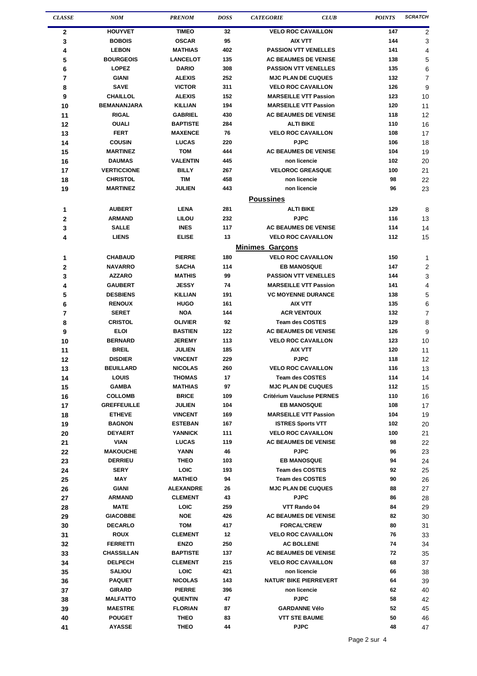| <b>CLASSE</b>  | <b>NOM</b>                       | <b>PRENOM</b>                 | <b>DOSS</b> | <b>CATEGORIE</b>                                  | <b>CLUB</b> | <b>POINTS</b> | <b>SCRATCH</b> |
|----------------|----------------------------------|-------------------------------|-------------|---------------------------------------------------|-------------|---------------|----------------|
| 2              | <b>HOUYVET</b>                   | <b>TIMEO</b>                  | 32          | <b>VELO ROC CAVAILLON</b>                         |             | 147           | 2              |
| 3              | <b>BOBOIS</b>                    | <b>OSCAR</b>                  | 95          | <b>AIX VTT</b>                                    |             | 144           | 3              |
| 4              | <b>LEBON</b>                     | <b>MATHIAS</b>                | 402         | <b>PASSION VTT VENELLES</b>                       |             | 141           | 4              |
| 5              | <b>BOURGEOIS</b>                 | <b>LANCELOT</b>               | 135         | <b>AC BEAUMES DE VENISE</b>                       |             | 138           | 5              |
| 6              | <b>LOPEZ</b>                     | <b>DARIO</b>                  | 308         | <b>PASSION VTT VENELLES</b>                       |             | 135           | 6              |
| $\overline{7}$ | <b>GIANI</b>                     | <b>ALEXIS</b>                 | 252         | <b>MJC PLAN DE CUQUES</b>                         |             | 132           | 7              |
| 8              | <b>SAVE</b>                      | <b>VICTOR</b>                 | 311         | <b>VELO ROC CAVAILLON</b>                         |             | 126           | 9              |
| 9              | <b>CHAILLOL</b>                  | <b>ALEXIS</b>                 | 152         | <b>MARSEILLE VTT Passion</b>                      |             | 123           | 10             |
| 10             | <b>BEMANANJARA</b>               | <b>KILLIAN</b>                | 194         | <b>MARSEILLE VTT Passion</b>                      |             | 120           | 11             |
| 11             | <b>RIGAL</b>                     | <b>GABRIEL</b>                | 430         | <b>AC BEAUMES DE VENISE</b>                       |             | 118           | 12             |
| 12             | <b>OUALI</b>                     | <b>BAPTISTE</b>               | 284         | <b>ALTI BIKE</b>                                  |             | 110           | 16             |
| 13             | <b>FERT</b>                      | <b>MAXENCE</b>                | 76          | <b>VELO ROC CAVAILLON</b>                         |             | 108           | 17             |
| 14             | <b>COUSIN</b>                    | <b>LUCAS</b>                  | 220         | <b>PJPC</b>                                       |             | 106           | 18             |
| 15             | <b>MARTINEZ</b><br><b>DAUMAS</b> | <b>TOM</b><br><b>VALENTIN</b> | 444<br>445  | <b>AC BEAUMES DE VENISE</b><br>non licencie       |             | 104<br>102    | 19             |
| 16             | <b>VERTICCIONE</b>               | <b>BILLY</b>                  | 267         | <b>VELOROC GREASQUE</b>                           |             | 100           | 20<br>21       |
| 17             | <b>CHRISTOL</b>                  | <b>TIM</b>                    | 458         | non licencie                                      |             | 98            | 22             |
| 18<br>19       | <b>MARTINEZ</b>                  | <b>JULIEN</b>                 | 443         | non licencie                                      |             | 96            | 23             |
|                |                                  |                               |             |                                                   |             |               |                |
|                |                                  |                               |             | <b>Poussines</b>                                  |             |               |                |
| 1              | <b>AUBERT</b>                    | <b>LENA</b>                   | 281         | <b>ALTI BIKE</b><br><b>PJPC</b>                   |             | 129           | 8              |
| 2              | <b>ARMAND</b><br><b>SALLE</b>    | LILOU<br><b>INES</b>          | 232<br>117  | <b>AC BEAUMES DE VENISE</b>                       |             | 116<br>114    | 13             |
| 3              | <b>LIENS</b>                     | <b>ELISE</b>                  | 13          | <b>VELO ROC CAVAILLON</b>                         |             | 112           | 14             |
| 4              |                                  |                               |             |                                                   |             |               | 15             |
|                |                                  |                               |             | <b>Minimes Garcons</b>                            |             |               |                |
| 1              | <b>CHABAUD</b>                   | <b>PIERRE</b>                 | 180         | <b>VELO ROC CAVAILLON</b>                         |             | 150           | 1              |
| 2              | <b>NAVARRO</b>                   | <b>SACHA</b>                  | 114<br>99   | <b>EB MANOSQUE</b><br><b>PASSION VTT VENELLES</b> |             | 147           | 2              |
| 3<br>4         | <b>AZZARO</b><br><b>GAUBERT</b>  | <b>MATHIS</b><br><b>JESSY</b> | 74          | <b>MARSEILLE VTT Passion</b>                      |             | 144<br>141    | 3              |
| 5              | <b>DESBIENS</b>                  | <b>KILLIAN</b>                | 191         | <b>VC MOYENNE DURANCE</b>                         |             | 138           | 4<br>5         |
| 6              | <b>RENOUX</b>                    | <b>HUGO</b>                   | 161         | <b>AIX VTT</b>                                    |             | 135           | 6              |
| 7              | <b>SERET</b>                     | <b>NOA</b>                    | 144         | <b>ACR VENTOUX</b>                                |             | 132           | 7              |
| 8              | <b>CRISTOL</b>                   | <b>OLIVIER</b>                | 92          | <b>Team des COSTES</b>                            |             | 129           | 8              |
| 9              | <b>ELOI</b>                      | <b>BASTIEN</b>                | 122         | <b>AC BEAUMES DE VENISE</b>                       |             | 126           | 9              |
| 10             | <b>BERNARD</b>                   | <b>JEREMY</b>                 | 113         | <b>VELO ROC CAVAILLON</b>                         |             | 123           | 10             |
| 11             | <b>BREIL</b>                     | <b>JULIEN</b>                 | 185         | <b>AIX VTT</b>                                    |             | 120           | 11             |
| 12             | <b>DISDIER</b>                   | <b>VINCENT</b>                | 229         | <b>PJPC</b>                                       |             | 118           | 12             |
| 13             | <b>BEUILLARD</b>                 | <b>NICOLAS</b>                | 260         | <b>VELO ROC CAVAILLON</b>                         |             | 116           | 13             |
| 14             | <b>LOUIS</b>                     | <b>THOMAS</b>                 | 17          | <b>Team des COSTES</b>                            |             | 114           | 14             |
| 15             | <b>GAMBA</b>                     | MATHIAS                       | 97          | <b>MJC PLAN DE CUQUES</b>                         |             | 112           | 15             |
| 16             | <b>COLLOMB</b>                   | <b>BRICE</b>                  | 109         | <b>Critérium Vaucluse PERNES</b>                  |             | 110           | 16             |
| 17             | <b>GREFFEUILLE</b>               | <b>JULIEN</b>                 | 104         | <b>EB MANOSQUE</b>                                |             | 108           | 17             |
| 18             | <b>ETHEVE</b>                    | <b>VINCENT</b>                | 169         | <b>MARSEILLE VTT Passion</b>                      |             | 104           | 19             |
| 19             | <b>BAGNON</b>                    | <b>ESTEBAN</b>                | 167         | <b>ISTRES Sports VTT</b>                          |             | 102           | 20             |
| 20             | <b>DEYAERT</b>                   | <b>YANNICK</b>                | 111         | <b>VELO ROC CAVAILLON</b>                         |             | 100           | 21             |
| 21             | <b>VIAN</b>                      | <b>LUCAS</b>                  | 119         | <b>AC BEAUMES DE VENISE</b>                       |             | 98            | 22             |
| 22             | <b>MAKOUCHE</b>                  | YANN                          | 46          | <b>PJPC</b>                                       |             | 96            | 23             |
| 23             | <b>DERRIEU</b><br><b>SERY</b>    | <b>THEO</b><br><b>LOIC</b>    | 103<br>193  | <b>EB MANOSQUE</b><br><b>Team des COSTES</b>      |             | 94<br>92      | 24             |
| 24<br>25       | MAY                              | <b>MATHEO</b>                 | 94          | <b>Team des COSTES</b>                            |             | 90            | 25<br>26       |
| 26             | <b>GIANI</b>                     | <b>ALEXANDRE</b>              | 26          | <b>MJC PLAN DE CUQUES</b>                         |             | 88            | 27             |
| 27             | <b>ARMAND</b>                    | <b>CLEMENT</b>                | 43          | <b>PJPC</b>                                       |             | 86            | 28             |
| 28             | <b>MATE</b>                      | LOIC                          | 259         | VTT Rando 04                                      |             | 84            | 29             |
| 29             | <b>GIACOBBE</b>                  | <b>NOE</b>                    | 426         | <b>AC BEAUMES DE VENISE</b>                       |             | 82            | 30             |
| 30             | <b>DECARLO</b>                   | TOM                           | 417         | <b>FORCAL'CREW</b>                                |             | 80            | 31             |
| 31             | <b>ROUX</b>                      | <b>CLEMENT</b>                | 12          | <b>VELO ROC CAVAILLON</b>                         |             | 76            | 33             |
| 32             | <b>FERRETTI</b>                  | <b>ENZO</b>                   | 250         | <b>AC BOLLENE</b>                                 |             | 74            | 34             |
| 33             | <b>CHASSILLAN</b>                | <b>BAPTISTE</b>               | 137         | <b>AC BEAUMES DE VENISE</b>                       |             | 72            | 35             |
| 34             | <b>DELPECH</b>                   | <b>CLEMENT</b>                | 215         | <b>VELO ROC CAVAILLON</b>                         |             | 68            | 37             |
| 35             | <b>SALIOU</b>                    | <b>LOIC</b>                   | 421         | non licencie                                      |             | 66            | 38             |
| 36             | <b>PAQUET</b>                    | <b>NICOLAS</b>                | 143         | <b>NATUR' BIKE PIERREVERT</b>                     |             | 64            | 39             |
| 37             | <b>GIRARD</b>                    | <b>PIERRE</b>                 | 396         | non licencie                                      |             | 62            | 40             |
| 38             | <b>MALFATTO</b>                  | <b>QUENTIN</b>                | 47          | <b>PJPC</b>                                       |             | 58            | 42             |
| 39             | <b>MAESTRE</b>                   | <b>FLORIAN</b>                | 87          | <b>GARDANNE Vélo</b>                              |             | 52            | 45             |
| 40             | <b>POUGET</b>                    | THEO                          | 83          | <b>VTT STE BAUME</b>                              |             | 50            | 46             |
| 41             | <b>AYASSE</b>                    | <b>THEO</b>                   | 44          | <b>PJPC</b>                                       |             | 48            | 47             |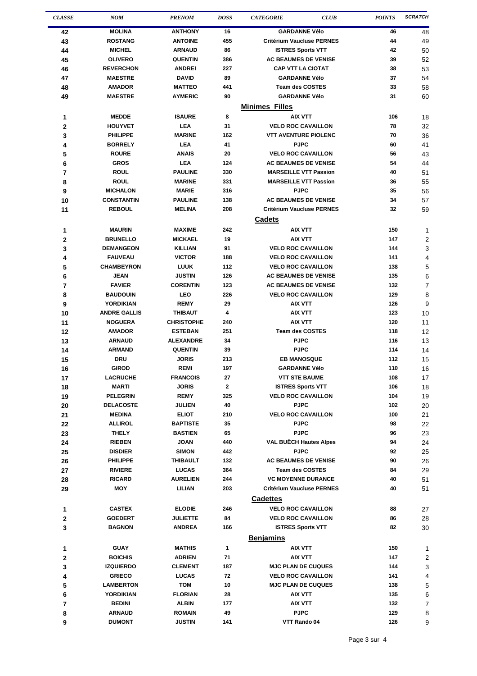| <b>CLASSE</b> | <b>NOM</b>                        | <b>PRENOM</b>                      | <b>DOSS</b>  | <b>CATEGORIE</b>                                         | <b>CLUB</b> | <b>POINTS</b> | <b>SCRATCH</b> |
|---------------|-----------------------------------|------------------------------------|--------------|----------------------------------------------------------|-------------|---------------|----------------|
| 42            | <b>MOLINA</b>                     | <b>ANTHONY</b>                     | 16           | <b>GARDANNE Vélo</b>                                     |             | 46            | 48             |
| 43            | <b>ROSTANG</b>                    | <b>ANTOINE</b>                     | 455          | <b>Critérium Vaucluse PERNES</b>                         |             | 44            | 49             |
| 44            | <b>MICHEL</b>                     | <b>ARNAUD</b>                      | 86           | <b>ISTRES Sports VTT</b>                                 |             | 42            | 50             |
| 45            | <b>OLIVERO</b>                    | <b>QUENTIN</b>                     | 386          | <b>AC BEAUMES DE VENISE</b>                              |             | 39            | 52             |
| 46            | <b>REVERCHON</b>                  | <b>ANDREI</b>                      | 227          | <b>CAP VTT LA CIOTAT</b>                                 |             | 38            | 53             |
| 47            | <b>MAESTRE</b>                    | <b>DAVID</b>                       | 89           | <b>GARDANNE Vélo</b>                                     |             | 37            | 54             |
| 48            | <b>AMADOR</b>                     | <b>MATTEO</b>                      | 441          | <b>Team des COSTES</b>                                   |             | 33            | 58             |
| 49            | <b>MAESTRE</b>                    | <b>AYMERIC</b>                     | 90           | <b>GARDANNE Vélo</b>                                     |             | 31            | 60             |
|               |                                   |                                    |              | <b>Minimes Filles</b>                                    |             |               |                |
| 1             | <b>MEDDE</b>                      | <b>ISAURE</b>                      | 8            | AIX VTT                                                  |             | 106           | 18             |
| 2             | <b>HOUYVET</b>                    | <b>LEA</b>                         | 31           | <b>VELO ROC CAVAILLON</b>                                |             | 78            | 32             |
| 3             | <b>PHILIPPE</b>                   | <b>MARINE</b>                      | 162          | <b>VTT AVENTURE PIOLENC</b>                              |             | 70            | 36             |
| 4             | <b>BORRELY</b>                    | <b>LEA</b>                         | 41           | <b>PJPC</b>                                              |             | 60            | 41             |
| 5             | <b>ROURE</b><br><b>GROS</b>       | <b>ANAIS</b><br><b>LEA</b>         | 20<br>124    | <b>VELO ROC CAVAILLON</b><br><b>AC BEAUMES DE VENISE</b> |             | 56<br>54      | 43             |
| 6<br>7        | <b>ROUL</b>                       | <b>PAULINE</b>                     | 330          | <b>MARSEILLE VTT Passion</b>                             |             | 40            | 44<br>51       |
| 8             | <b>ROUL</b>                       | <b>MARINE</b>                      | 331          | <b>MARSEILLE VTT Passion</b>                             |             | 36            | 55             |
| 9             | <b>MICHALON</b>                   | <b>MARIE</b>                       | 316          | <b>PJPC</b>                                              |             | 35            | 56             |
| 10            | <b>CONSTANTIN</b>                 | <b>PAULINE</b>                     | 138          | <b>AC BEAUMES DE VENISE</b>                              |             | 34            | 57             |
| 11            | <b>REBOUL</b>                     | <b>MELINA</b>                      | 208          | <b>Critérium Vaucluse PERNES</b>                         |             | 32            | 59             |
|               |                                   |                                    |              | <b>Cadets</b>                                            |             |               |                |
| 1             | <b>MAURIN</b>                     | <b>MAXIME</b>                      | 242          | AIX VTT                                                  |             | 150           | 1              |
| $\mathbf{2}$  | <b>BRUNELLO</b>                   | <b>MICKAEL</b>                     | 19           | <b>AIX VTT</b>                                           |             | 147           | 2              |
| 3             | <b>DEMANGEON</b>                  | <b>KILLIAN</b>                     | 91           | <b>VELO ROC CAVAILLON</b>                                |             | 144           | 3              |
| 4             | <b>FAUVEAU</b>                    | <b>VICTOR</b>                      | 188          | <b>VELO ROC CAVAILLON</b>                                |             | 141           | 4              |
| 5             | <b>CHAMBEYRON</b>                 | <b>LUUK</b>                        | 112          | <b>VELO ROC CAVAILLON</b>                                |             | 138           | 5              |
| 6             | <b>JEAN</b>                       | <b>JUSTIN</b>                      | 126          | <b>AC BEAUMES DE VENISE</b>                              |             | 135           | 6              |
| 7             | <b>FAVIER</b>                     | <b>CORENTIN</b>                    | 123          | <b>AC BEAUMES DE VENISE</b>                              |             | 132           | 7              |
| 8             | <b>BAUDOUIN</b>                   | LEO                                | 226          | <b>VELO ROC CAVAILLON</b>                                |             | 129           | 8              |
| 9             | YORDIKIAN                         | <b>REMY</b>                        | 29           | AIX VTT                                                  |             | 126           | 9              |
| 10            | <b>ANDRE GALLIS</b>               | <b>THIBAUT</b>                     | 4            | <b>AIX VTT</b>                                           |             | 123           | 10             |
| 11            | <b>NOGUERA</b>                    | <b>CHRISTOPHE</b>                  | 240          | AIX VTT                                                  |             | 120           | 11             |
| 12            | <b>AMADOR</b>                     | <b>ESTEBAN</b>                     | 251          | <b>Team des COSTES</b>                                   |             | 118           | 12             |
| 13            | <b>ARNAUD</b><br><b>ARMAND</b>    | <b>ALEXANDRE</b><br><b>QUENTIN</b> | 34<br>39     | <b>PJPC</b><br><b>PJPC</b>                               |             | 116           | 13             |
| 14            | <b>DRU</b>                        | <b>JORIS</b>                       | 213          | <b>EB MANOSQUE</b>                                       |             | 114<br>112    | 14<br>15       |
| 15<br>16      | <b>GIROD</b>                      | <b>REMI</b>                        | 197          | <b>GARDANNE Vélo</b>                                     |             | 110           | 16             |
| 17            | <b>LACRUCHE</b>                   | <b>FRANCOIS</b>                    | 27           | <b>VTT STE BAUME</b>                                     |             | 108           | 17             |
| 18            | <b>MARTI</b>                      | <b>JORIS</b>                       | $\mathbf{2}$ | <b>ISTRES Sports VTT</b>                                 |             | 106           | 18             |
| 19            | <b>PELEGRIN</b>                   | <b>REMY</b>                        | 325          | <b>VELO ROC CAVAILLON</b>                                |             | 104           | 19             |
| 20            | <b>DELACOSTE</b>                  | <b>JULIEN</b>                      | 40           | <b>PJPC</b>                                              |             | 102           | 20             |
| 21            | <b>MEDINA</b>                     | <b>ELIOT</b>                       | 210          | <b>VELO ROC CAVAILLON</b>                                |             | 100           | 21             |
| 22            | <b>ALLIROL</b>                    | <b>BAPTISTE</b>                    | 35           | <b>PJPC</b>                                              |             | 98            | 22             |
| 23            | <b>THELY</b>                      | <b>BASTIEN</b>                     | 65           | <b>PJPC</b>                                              |             | 96            | 23             |
| 24            | <b>RIEBEN</b>                     | <b>JOAN</b>                        | 440          | <b>VAL BUECH Hautes Alpes</b>                            |             | 94            | 24             |
| 25            | <b>DISDIER</b>                    | <b>SIMON</b>                       | 442          | <b>PJPC</b>                                              |             | 92            | 25             |
| 26            | <b>PHILIPPE</b>                   | THIBAULT                           | 132          | <b>AC BEAUMES DE VENISE</b>                              |             | 90            | 26             |
| 27            | <b>RIVIERE</b>                    | <b>LUCAS</b>                       | 364          | <b>Team des COSTES</b>                                   |             | 84            | 29             |
| 28            | <b>RICARD</b>                     | <b>AURELIEN</b>                    | 244          | <b>VC MOYENNE DURANCE</b>                                |             | 40            | 51             |
| 29            | <b>MOY</b>                        | LILIAN                             | 203          | <b>Critérium Vaucluse PERNES</b>                         |             | 40            | 51             |
|               |                                   |                                    |              | <b>Cadettes</b>                                          |             |               |                |
| 1             | <b>CASTEX</b>                     | <b>ELODIE</b>                      | 246          | <b>VELO ROC CAVAILLON</b>                                |             | 88            | 27             |
| 2             | <b>GOEDERT</b>                    | <b>JULIETTE</b>                    | 84           | <b>VELO ROC CAVAILLON</b>                                |             | 86            | 28             |
| 3             | <b>BAGNON</b>                     | <b>ANDREA</b>                      | 166          | <b>ISTRES Sports VTT</b>                                 |             | 82            | 30             |
|               |                                   |                                    |              | <b>Benjamins</b>                                         |             |               |                |
| 1             | <b>GUAY</b>                       | <b>MATHIS</b>                      | 1            | AIX VTT                                                  |             | 150           | 1              |
| 2             | <b>BOICHIS</b>                    | <b>ADRIEN</b>                      | 71           | AIX VTT                                                  |             | 147           | 2              |
| 3             | <b>IZQUIERDO</b>                  | <b>CLEMENT</b>                     | 187          | <b>MJC PLAN DE CUQUES</b>                                |             | 144           | 3              |
| 4             | <b>GRIECO</b><br><b>LAMBERTON</b> | <b>LUCAS</b><br>TOM                | 72<br>10     | <b>VELO ROC CAVAILLON</b><br><b>MJC PLAN DE CUQUES</b>   |             | 141<br>138    | 4              |
| 5             | <b>YORDIKIAN</b>                  | <b>FLORIAN</b>                     | 28           | <b>AIX VTT</b>                                           |             | 135           | 5              |
| 6<br>7        | <b>BEDINI</b>                     | <b>ALBIN</b>                       | 177          | AIX VTT                                                  |             | 132           | 6<br>7         |
| 8             | <b>ARNAUD</b>                     | <b>ROMAIN</b>                      | 49           | <b>PJPC</b>                                              |             | 129           | 8              |
| 9             | <b>DUMONT</b>                     | <b>JUSTIN</b>                      | 141          | VTT Rando 04                                             |             | 126           | 9              |
|               |                                   |                                    |              |                                                          |             |               |                |